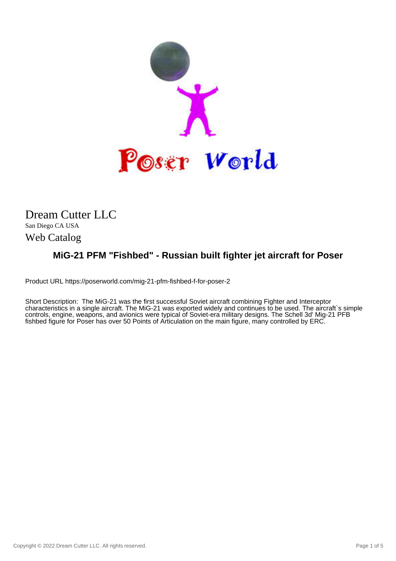

## Dream Cutter LLC

San Diego CA USA Web Catalog

## **MiG-21 PFM "Fishbed" - Russian built fighter jet aircraft for Poser**

Product URL https://poserworld.com/mig-21-pfm-fishbed-f-for-poser-2

Short Description: The MiG-21 was the first successful Soviet aircraft combining Fighter and Interceptor characteristics in a single aircraft. The MiG-21 was exported widely and continues to be used. The aircraft`s simple controls, engine, weapons, and avionics were typical of Soviet-era military designs. The Schell 3d' Mig-21 PFB fishbed figure for Poser has over 50 Points of Articulation on the main figure, many controlled by ERC.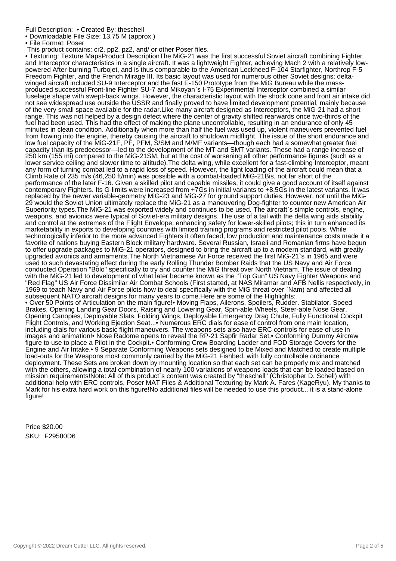Full Description: • Created By: theschell

• Downloadable File Size: 13.75 M (approx.)

• File Format: Poser

This product contains: cr2, pp2, pz2, and/ or other Poser files.

• Texturing: Texture MapsProduct DescriptionThe MiG-21 was the first successful Soviet aircraft combining Fighter and Interceptor characteristics in a single aircraft. It was a lightweight Fighter, achieving Mach 2 with a relatively lowpowered After-burning Turbojet, and is thus comparable to the American Lockheed F-104 Starfighter, Northrop F-5 Freedom Fighter, and the French Mirage III. Its basic layout was used for numerous other Soviet designs; deltawinged aircraft included SU-9 Interceptor and the fast E-150 Prototype from the MiG Bureau while the massproduced successful Front-line Fighter SU-7 and Mikoyan`s I-75 Experimental Interceptor combined a similar fuselage shape with swept-back wings. However, the characteristic layout with the shock cone and front air intake did not see widespread use outside the USSR and finally proved to have limited development potential, mainly because of the very small space available for the radar.Like many aircraft designed as Interceptors, the MiG-21 had a short range. This was not helped by a design defect where the center of gravity shifted rearwards once two-thirds of the fuel had been used. This had the effect of making the plane uncontrollable, resulting in an endurance of only 45 minutes in clean condition. Additionally when more than half the fuel was used up, violent maneuvers prevented fuel from flowing into the engine, thereby causing the aircraft to shutdown midflight. The issue of the short endurance and low fuel capacity of the MiG-21F, PF, PFM, S/SM and M/MF variants—though each had a somewhat greater fuel capacity than its predecessor—led to the development of the MT and SMT variants. These had a range increase of 250 km (155 mi) compared to the MiG-21SM, but at the cost of worsening all other performance figures (such as a lower service ceiling and slower time to altitude). The delta wing, while excellent for a fast-climbing Interceptor, meant any form of turning combat led to a rapid loss of speed. However, the light loading of the aircraft could mean that a Climb Rate of 235 m/s (46,250 ft/min) was possible with a combat-loaded MiG-21Bis, not far short of the performance of the later F-16. Given a skilled pilot and capable missiles, it could give a good account of itself against contemporary Fighters. Its G-limits were increased from +7Gs in initial variants to +8.5Gs in the latest variants. It was replaced by the newer variable-geometry MiG-23 and MiG-27 for ground support duties. However, not until the MiG-29 would the Soviet Union ultimately replace the MiG-21 as a maneuvering Dog-fighter to counter new American Air Superiority types.The MiG-21 was exported widely and continues to be used. The aircraft`s simple controls, engine, weapons, and avionics were typical of Soviet-era military designs. The use of a tail with the delta wing aids stability and control at the extremes of the Flight Envelope, enhancing safety for lower-skilled pilots; this in turn enhanced its marketability in exports to developing countries with limited training programs and restricted pilot pools. While technologically inferior to the more advanced Fighters it often faced, low production and maintenance costs made it a favorite of nations buying Eastern Block military hardware. Several Russian, Israeli and Romanian firms have begun to offer upgrade packages to MiG-21 operators, designed to bring the aircraft up to a modern standard, with greatly upgraded avionics and armaments.The North Vietnamese Air Force received the first MiG-21`s in 1965 and were used to such devastating effect during the early Rolling Thunder Bomber Raids that the US Navy and Air Force conducted Operation "Bolo" specifically to try and counter the MiG threat over North Vietnam. The issue of dealing with the MiG-21 led to development of what later became known as the "Top Gun" US Navy Fighter Weapons and "Red Flag" US Air Force Dissimilar Air Combat Schools (First started, at NAS Miramar and AFB Nellis respectively, in 1969 to teach Navy and Air Force pilots how to deal specifically with the MiG threat over `Nam) and affected all subsequent NATO aircraft designs for many years to come.Here are some of the Highlights: • Over 50 Points of Articulation on the main figure!• Moving Flaps, Ailerons, Spoilers, Rudder. Stabilator, Speed Brakes, Opening Landing Gear Doors, Raising and Lowering Gear, Spin-able Wheels, Steer-able Nose Gear, Opening Canopies, Deployable Slats, Folding Wings, Deployable Emergency Drag Chute, Fully Functional Cockpit Flight Controls, and Working Ejection Seat...• Numerous ERC dials for ease of control from one main location, including dials for various basic flight maneuvers. The weapons sets also have ERC controls for ease of use in images and animation!• Nose Radome opens to reveal the RP-21 Sapfir Radar Set.• Conforming Dummy Aircrew figure to use to place a Pilot in the Cockpit.• Conforming Crew Boarding Ladder and FOD Storage Covers for the Engine and Air Intake.• 9 Separate Conforming Weapons sets designed to be Mixed and Matched to create multiple load-outs for the Weapons most commonly carried by the MiG-21 Fishbed, with fully controllable ordinance deployment. These Sets are broken down by mounting location so that each set can be properly mix and matched with the others, allowing a total combination of nearly 100 variations of weapons loads that can be loaded based on mission requirements!Note: All of this product`s content was created by "theschell" (Christopher D. Schell) with additional help with ERC controls, Poser MAT Files & Additional Texturing by Mark A. Fares (KageRyu). My thanks to Mark for his extra hard work on this figure!No additional files will be needed to use this product... it is a stand-alone figure!

Price \$20.00 SKU: F29580D6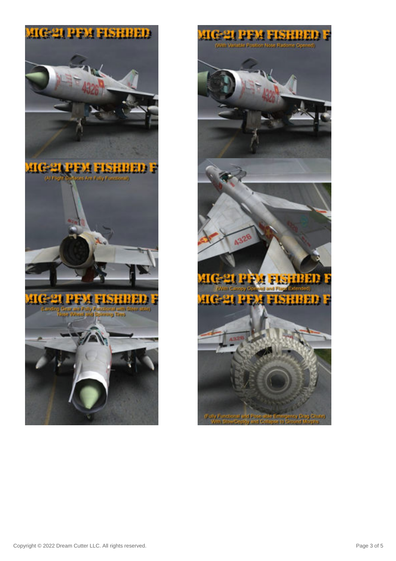